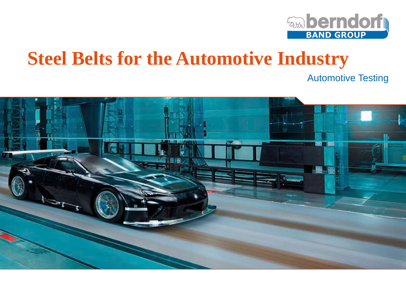

# **Steel Belts for the Automotive Industry**

Automotive Testing

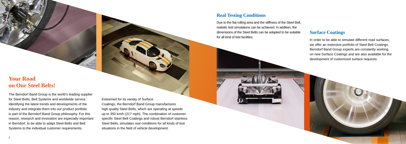# **Your Road on Our Steel Belts!**

 $\mathcal{A} \cap \mathcal{B}$  is a system of  $\mathcal{B}$ 

The Berndorf Band Group is the world's leading supplier for Steel Belts, Belt Systems and worldwide service. Identifying the latest trends and developments of the industry and integrate them into our product portfolio is part of the Berndorf Band Group philosophy. For this reason, research and innovation are especially important in Berndorf, to be able to adapt Steel Belts and Belt Systems to the individual customer requirements.

#### Esteemed for its variety of Surface

Coatings, the Berndorf Band Group manufactures high quality Steel Belts, which are operating at speeds up to 350 km/h (217 mph). The combination of customerspecific Steel Belt Coatings and robust Berndorf stainless Steel Belts, simulates real conditions for all kinds of test situations in the field of vehicle development.

### **Real Testing Conditions**

Due to the flat rolling area and the stiffness of the Steel Belt, realistic test simulations can be achieved. In addition, the dimensions of the Steel Belts can be adapted to be suitable for all kind of test facilities.

#### **Surface Coatings**

In order to be able to simulate different road surfaces, we offer an extensive portfolio of Steel Belt Coatings. Berndorf Band Group experts are constantly working on new Surface Coatings and are also available for the development of customized surface requests.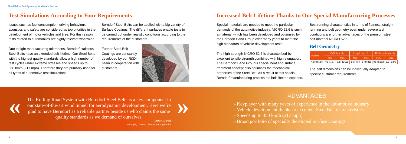Steel Belts | Belt Systems | Worldwide Service

The Rolling Road System with Berndorf Steel Belts is a key component in our state-of-the-art wind tunnel for aerodynamic development. Here we're glad to have Berndorf as a reliable partner beside us who claims the same qua The Rolling Road System with Berndorf Steel Belts is a key component in our state-of-the-art wind tunnel for aerodynamic development. Here we´re glad to have Berndorf as a reliable partner beside us who claims the same quality standards as we demand of ourselves.

*Steffen Schrodt Managing Director, Sauber Aerodynamics*

### **Test Simulations According to Your Requirements**

Issues such as fuel consumption, driving behaviour, acoustics and safety are considered as top priorities in the development of motor vehicles and tires. For this reason tests related to automobiles are highly relevant worldwide.

Due to tight manufacturing tolerances, Berndorf stainless Steel Belts have an extended belt lifetime. Our Steel Belts with the highest quality standards allow a high number of test cycles under extreme stresses and speeds up to 350 km/h (217 mph). Therefore they are primarily used for all types of automotive test simulations.

Berndorf Steel Belts can be applied with a big variety of Surface Coatings. The different surfaces enable tests to be carried out under realistic conditions according to the requirements of the customers.

Further Steel Belt Coatings are constantly developed by our R&D-Team in cooperation with customers.





# **Increased Belt Lifetime Thanks to Our Special Manufacturing Processes**

Special materials are needed to meet the particular demands of the automotive industry. NICRO 52.6 is such a material, which has been developed and optimised by the Berndorf Band Group over many years to meet the high standards of vehicle development tests.

The high-strength NICRO 52.6 is characterised by excellent tensile strength combined with high elongation. The Berndorf Band Group's special heat and surface treatment concept also optimises the mechanical properties of the Steel Belt. As a result ot this special Berndorf manufacturing process the belt lifetime expands.

Best running characteristics in terms of flatness, straight running and belt geometry even under severe test conditions are further advantages of the premium steel belt material NICRO 52.6.

#### **Belt Geometry**

# ADVANTAGES

» Keyplayer with many years of experience in the automotive industry

- » Vehicle development thanks to excellent Steel Belt characteristics
- » Speeds up to 350 km/h (217 mph)
- » Broad portfolio of specially developed Surface Coatings

The belt dimensions can be individually adapted to specific customer requirements.

| <b>Material</b>                                                                 | Width in m   in |      | Length in $m \mid ft$ |      | Thickness in mm   in |      |
|---------------------------------------------------------------------------------|-----------------|------|-----------------------|------|----------------------|------|
|                                                                                 | Min.            | Max. | Min.                  | Max. | Min.                 | Max. |
| NICRO 52.6 0.2   7.87 9.0   354.33 1.4   4.59 270   886 0.3   0.012 3.5   1.378 |                 |      |                       |      |                      |      |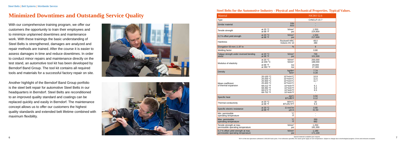# **Minimized Downtimes and Outstandig Service Quality**

With our comprehensive training program, we offer our customers the opportunity to train their employees and to minimize unplanned downtimes and maintenance work. With these trainings the basic understanding of Steel Belts is strengthened, damages are analyzed and repair methods are trained. After the course it is easier to assess damages in time and reduce downtimes. In order to conduct minor repairs and maintenance directly on the test stand, an automotive tool kit has been developed by Berndorf Band Group. The tool kit contains all required tools and materials for a successful factory repair on site.

Another highlight of the Berndorf Band Group portfolio is the steel belt repair for automotive Steel Belts in our headquarters in Berndorf. Steel Belts are reconditioned to an improved quality standard and coatings can be replaced quickly and easily in Berndorf. The maintenance concept allows us to offer our customers the highest quality standards and extended belt lifetime combined with maximum flexibility.





#### **Steel Belts for the Automotive Industry - Physical and Mechanical Properties. Typical Values.**

*Special materials available upon request.*

*\*50 % of the test specimens withstand 2,000,000 load cycles. If not otherwise specified, the values given apply at room temperature. Subject to change due to technological progress. Errors and omissons excepted.*

| Material<br><b>NICRO 52.6</b>                                            |                                                                                                      |                                                                                                                                                                                                                      |                                                             |  |  |
|--------------------------------------------------------------------------|------------------------------------------------------------------------------------------------------|----------------------------------------------------------------------------------------------------------------------------------------------------------------------------------------------------------------------|-------------------------------------------------------------|--|--|
| Type                                                                     |                                                                                                      |                                                                                                                                                                                                                      | CrNiCuTi 157                                                |  |  |
| Similar material                                                         |                                                                                                      | <b>DIN</b><br><b>AISI</b>                                                                                                                                                                                            |                                                             |  |  |
| Tensile strength                                                         | at 20 $^{\circ}$ C<br>at 68 $\degree$ F                                                              | N/mm <sup>2</sup><br>psi                                                                                                                                                                                             | 1,550<br>224,800                                            |  |  |
| 0.2 %-offset yield strength                                              | at 20 $^{\circ}$ C<br>at 68 $\degree$ F                                                              | N/mm <sup>2</sup><br>psi                                                                                                                                                                                             | 1,500<br>217,600                                            |  |  |
| Hardness                                                                 |                                                                                                      | <b>Rockwell HRC</b><br>Vickers HV 10                                                                                                                                                                                 | 48.0<br>480                                                 |  |  |
| Elongation 50 mm   1.97 in                                               |                                                                                                      | $\%$                                                                                                                                                                                                                 | $6\phantom{1}$                                              |  |  |
| Welding factor                                                           |                                                                                                      |                                                                                                                                                                                                                      | 0.80                                                        |  |  |
| Fatigue strength under reversed bending<br>stress <sup>*</sup>           | at 20 °C<br>at 68 $\degree$ F                                                                        | N/mm <sup>2</sup><br>psi                                                                                                                                                                                             | 700<br>101,500                                              |  |  |
| Modulus of elasticity                                                    | at 20 $^{\circ}$ C<br>at 200 °C<br>at 68 $\degree$ F<br>at 392 °F                                    | N/mm <sup>2</sup><br>$N/mm^2$<br>ksi<br>ksi                                                                                                                                                                          | 200,000<br>188,000<br>29,000<br>27,300                      |  |  |
| Density                                                                  |                                                                                                      | kg/dm <sup>3</sup><br>$Ib/in^3$                                                                                                                                                                                      | 7.74<br>0.28                                                |  |  |
| Mean coefficient<br>of thermal expansion                                 | 20-100 °C<br>20-200 °C<br>20-300 °C<br>20-400 °C<br>68-212 °F<br>68-392 °F<br>68-572 °F<br>68-752 °F | $10-6$ m/m $^{\circ}$ C<br>$10-6$ m/m $^{\circ}$ C<br>$10-6$ m/m $^{\circ}$ C<br>$10-6$ m/m $^{\circ}$ C<br>$10-6$ in/in $°F$<br>$10-6$ in/in $^{\circ}$ F<br>$10-6$ in/in $^{\circ}$ F<br>$10-6$ in/in $^{\circ}$ F | 10.9<br>11.5<br>11.7<br>$\overline{a}$<br>6.1<br>6.4<br>6.5 |  |  |
| Specific heat                                                            |                                                                                                      | $J/g^{\circ}C$<br>BTU/lb°F                                                                                                                                                                                           | 0.50<br>0.12                                                |  |  |
| Thermal conductivity                                                     | at 20 °C<br>at 68 °F                                                                                 | $W/m^{\circ}C$<br>BTU/hr ft°F                                                                                                                                                                                        | 16<br>9.3                                                   |  |  |
| Specific electric resistance                                             | at 20 °C<br>at 68 $\degree$ F                                                                        | $\Omega$ mm <sup>2</sup> /m<br>$μΩ$ in                                                                                                                                                                               | 0.80<br>31.50                                               |  |  |
| Min. permissible<br>operating temperature                                |                                                                                                      | $^{\circ}C$<br>$\circ$ F                                                                                                                                                                                             | L,                                                          |  |  |
| Max. permissible<br>operating temperature                                |                                                                                                      | $^{\circ}C$<br>$\circ$ F                                                                                                                                                                                             | 350<br>662                                                  |  |  |
| Tensile strength at max.<br>permissible operating temperature            |                                                                                                      | N/mm <sup>2</sup><br>psi                                                                                                                                                                                             | 1,250<br>181,300                                            |  |  |
| 0.2 %-offset yield strength at max.<br>permissible operating temperature |                                                                                                      | N/mm <sup>2</sup><br>psi                                                                                                                                                                                             | 1,180<br>171,100                                            |  |  |